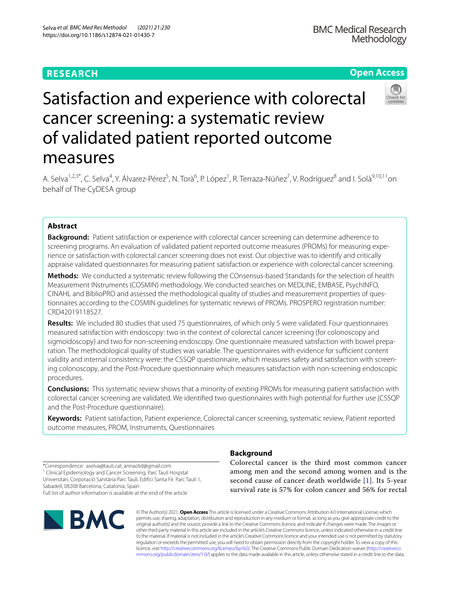# **RESEARCH**

# **Open Access**

# Satisfaction and experience with colorectal cancer screening: a systematic review of validated patient reported outcome measures

A. Selva<sup>1,2,3\*</sup>, C. Selva<sup>4</sup>, Y. Álvarez-Pérez<sup>5</sup>, N. Torà<sup>6</sup>, P. López<sup>1</sup>, R. Terraza-Núñez<sup>7</sup>, V. Rodríguez<sup>8</sup> and I. Solà<sup>9,10,11</sup>on behalf of The CyDESA group

# **Abstract**

**Background:** Patient satisfaction or experience with colorectal cancer screening can determine adherence to screening programs. An evaluation of validated patient reported outcome measures (PROMs) for measuring experience or satisfaction with colorectal cancer screening does not exist. Our objective was to identify and critically appraise validated questionnaires for measuring patient satisfaction or experience with colorectal cancer screening.

**Methods:** We conducted a systematic review following the COnsensus-based Standards for the selection of health Measurement INstruments (COSMIN) methodology. We conducted searches on MEDLINE, EMBASE, PsychINFO, CINAHL and BiblioPRO and assessed the methodological quality of studies and measurement properties of ques‑ tionnaires according to the COSMIN guidelines for systematic reviews of PROMs. PROSPERO registration number: CRD42019118527.

**Results:** We included 80 studies that used 75 questionnaires, of which only 5 were validated. Four questionnaires measured satisfaction with endoscopy: two in the context of colorectal cancer screening (for colonoscopy and sigmoidoscopy) and two for non-screening endoscopy. One questionnaire measured satisfaction with bowel preparation. The methodological quality of studies was variable. The questionnaires with evidence for sufficient content validity and internal consistency were: the CSSQP questionnaire, which measures safety and satisfaction with screening colonoscopy, and the Post-Procedure questionnaire which measures satisfaction with non-screening endoscopic procedures.

**Conclusions:** This systematic review shows that a minority of existing PROMs for measuring patient satisfaction with colorectal cancer screening are validated. We identifed two questionnaires with high potential for further use (CSSQP and the Post-Procedure questionnaire).

**Keywords:** Patient satisfaction, Patient experience, Colorectal cancer screening, systematic review, Patient reported outcome measures, PROM, Instruments, Questionnaires

\*Correspondence: aselva@tauli.cat; annaolid@gmail.com <sup>1</sup> Clinical Epidemiology and Cancer Screening, Parc Taulí Hospital Universitari, Corporació Sanitària Parc Taulí, Edifci Santa Fè. Parc Taulí 1, Sabadell, 08208 Barcelona, Catalonia, Spain Full list of author information is available at the end of the article



# **Background**

Colorectal cancer is the third most common cancer among men and the second among women and is the second cause of cancer death worldwide [[1](#page-13-0)]. Its 5-year survival rate is 57% for colon cancer and 56% for rectal

© The Author(s) 2021. **Open Access** This article is licensed under a Creative Commons Attribution 4.0 International License, which permits use, sharing, adaptation, distribution and reproduction in any medium or format, as long as you give appropriate credit to the original author(s) and the source, provide a link to the Creative Commons licence, and indicate if changes were made. The images or other third party material in this article are included in the article's Creative Commons licence, unless indicated otherwise in a credit line to the material. If material is not included in the article's Creative Commons licence and your intended use is not permitted by statutory regulation or exceeds the permitted use, you will need to obtain permission directly from the copyright holder. To view a copy of this licence, visit [http://creativecommons.org/licenses/by/4.0/.](http://creativecommons.org/licenses/by/4.0/) The Creative Commons Public Domain Dedication waiver ([http://creativeco](http://creativecommons.org/publicdomain/zero/1.0/) [mmons.org/publicdomain/zero/1.0/](http://creativecommons.org/publicdomain/zero/1.0/)) applies to the data made available in this article, unless otherwise stated in a credit line to the data.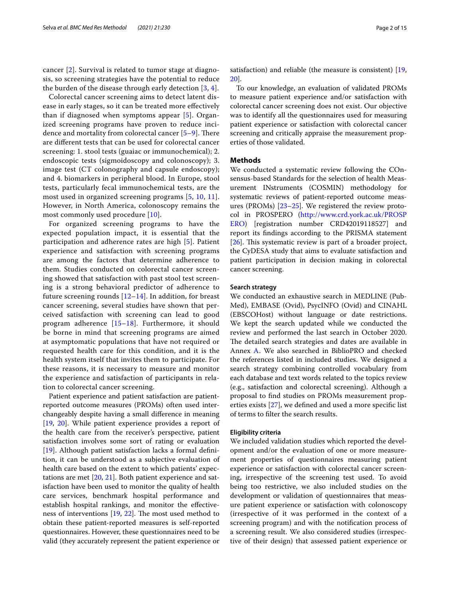cancer [[2\]](#page-13-1). Survival is related to tumor stage at diagnosis, so screening strategies have the potential to reduce the burden of the disease through early detection [\[3](#page-13-2), [4](#page-13-3)].

Colorectal cancer screening aims to detect latent disease in early stages, so it can be treated more efectively than if diagnosed when symptoms appear [[5\]](#page-13-4). Organized screening programs have proven to reduce incidence and mortality from colorectal cancer  $[5-9]$  $[5-9]$ . There are diferent tests that can be used for colorectal cancer screening: 1. stool tests (guaiac or immunochemical); 2. endoscopic tests (sigmoidoscopy and colonoscopy); 3. image test (CT colonography and capsule endoscopy); and 4. biomarkers in peripheral blood. In Europe, stool tests, particularly fecal immunochemical tests, are the most used in organized screening programs [[5](#page-13-4), [10,](#page-13-6) [11\]](#page-13-7). However, in North America, colonoscopy remains the most commonly used procedure [\[10](#page-13-6)].

For organized screening programs to have the expected population impact, it is essential that the participation and adherence rates are high [[5\]](#page-13-4). Patient experience and satisfaction with screening programs are among the factors that determine adherence to them. Studies conducted on colorectal cancer screening showed that satisfaction with past stool test screening is a strong behavioral predictor of adherence to future screening rounds  $[12-14]$  $[12-14]$  $[12-14]$ . In addition, for breast cancer screening, several studies have shown that perceived satisfaction with screening can lead to good program adherence [[15](#page-13-10)–[18](#page-13-11)]. Furthermore, it should be borne in mind that screening programs are aimed at asymptomatic populations that have not required or requested health care for this condition, and it is the health system itself that invites them to participate. For these reasons, it is necessary to measure and monitor the experience and satisfaction of participants in relation to colorectal cancer screening.

Patient experience and patient satisfaction are patientreported outcome measures (PROMs) often used interchangeably despite having a small diference in meaning [[19,](#page-13-12) [20\]](#page-13-13). While patient experience provides a report of the health care from the receiver's perspective, patient satisfaction involves some sort of rating or evaluation [[19\]](#page-13-12). Although patient satisfaction lacks a formal defnition, it can be understood as a subjective evaluation of health care based on the extent to which patients' expectations are met [[20](#page-13-13), [21](#page-13-14)]. Both patient experience and satisfaction have been used to monitor the quality of health care services, benchmark hospital performance and establish hospital rankings, and monitor the efectiveness of interventions  $[19, 22]$  $[19, 22]$  $[19, 22]$  $[19, 22]$ . The most used method to obtain these patient-reported measures is self-reported questionnaires. However, these questionnaires need to be valid (they accurately represent the patient experience or satisfaction) and reliable (the measure is consistent) [[19](#page-13-12), [20\]](#page-13-13).

To our knowledge, an evaluation of validated PROMs to measure patient experience and/or satisfaction with colorectal cancer screening does not exist. Our objective was to identify all the questionnaires used for measuring patient experience or satisfaction with colorectal cancer screening and critically appraise the measurement properties of those validated.

#### **Methods**

We conducted a systematic review following the COnsensus-based Standards for the selection of health Measurement INstruments (COSMIN) methodology for systematic reviews of patient-reported outcome measures (PROMs) [\[23](#page-13-16)[–25](#page-13-17)]. We registered the review protocol in PROSPERO ([http://www.crd.york.ac.uk/PROSP](http://www.crd.york.ac.uk/PROSPERO) [ERO](http://www.crd.york.ac.uk/PROSPERO)) [registration number CRD42019118527] and report its fndings according to the PRISMA statement  $[26]$  $[26]$ . This systematic review is part of a broader project, the CyDESA study that aims to evaluate satisfaction and patient participation in decision making in colorectal cancer screening.

#### **Search strategy**

We conducted an exhaustive search in MEDLINE (Pub-Med), EMBASE (Ovid), PsycINFO (Ovid) and CINAHL (EBSCOHost) without language or date restrictions. We kept the search updated while we conducted the review and performed the last search in October 2020. The detailed search strategies and dates are available in Annex [A.](#page-12-0) We also searched in BiblioPRO and checked the references listed in included studies. We designed a search strategy combining controlled vocabulary from each database and text words related to the topics review (e.g., satisfaction and colorectal screening). Although a proposal to fnd studies on PROMs measurement properties exists [\[27](#page-14-1)], we defned and used a more specifc list of terms to flter the search results.

#### **Eligibility criteria**

We included validation studies which reported the development and/or the evaluation of one or more measurement properties of questionnaires measuring patient experience or satisfaction with colorectal cancer screening, irrespective of the screening test used. To avoid being too restrictive, we also included studies on the development or validation of questionnaires that measure patient experience or satisfaction with colonoscopy (irrespective of it was performed in the context of a screening program) and with the notifcation process of a screening result. We also considered studies (irrespective of their design) that assessed patient experience or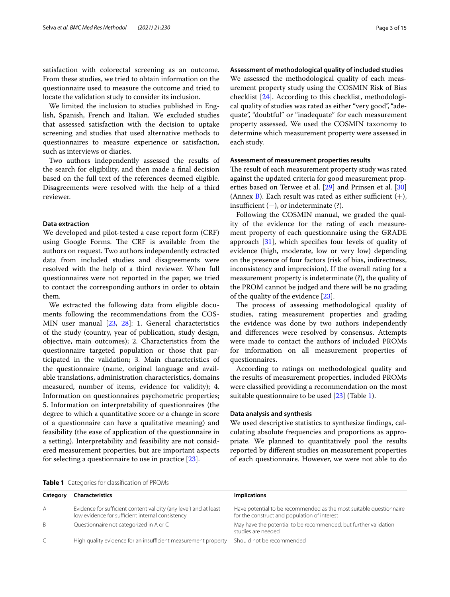satisfaction with colorectal screening as an outcome. From these studies, we tried to obtain information on the questionnaire used to measure the outcome and tried to locate the validation study to consider its inclusion.

We limited the inclusion to studies published in English, Spanish, French and Italian. We excluded studies that assessed satisfaction with the decision to uptake screening and studies that used alternative methods to questionnaires to measure experience or satisfaction, such as interviews or diaries.

Two authors independently assessed the results of the search for eligibility, and then made a fnal decision based on the full text of the references deemed eligible. Disagreements were resolved with the help of a third reviewer.

#### **Data extraction**

We developed and pilot-tested a case report form (CRF) using Google Forms. The CRF is available from the authors on request. Two authors independently extracted data from included studies and disagreements were resolved with the help of a third reviewer. When full questionnaires were not reported in the paper, we tried to contact the corresponding authors in order to obtain them.

We extracted the following data from eligible documents following the recommendations from the COS-MIN user manual [\[23](#page-13-16), [28\]](#page-14-2): 1. General characteristics of the study (country, year of publication, study design, objective, main outcomes); 2. Characteristics from the questionnaire targeted population or those that participated in the validation; 3. Main characteristics of the questionnaire (name, original language and available translations, administration characteristics, domains measured, number of items, evidence for validity); 4. Information on questionnaires psychometric properties; 5. Information on interpretability of questionnaires (the degree to which a quantitative score or a change in score of a questionnaire can have a qualitative meaning) and feasibility (the ease of application of the questionnaire in a setting). Interpretability and feasibility are not considered measurement properties, but are important aspects for selecting a questionnaire to use in practice [\[23](#page-13-16)].

**Assessment of methodological quality of included studies**

We assessed the methodological quality of each measurement property study using the COSMIN Risk of Bias checklist [\[24\]](#page-13-18). According to this checklist, methodological quality of studies was rated as either "very good", "adequate", "doubtful" or "inadequate" for each measurement property assessed. We used the COSMIN taxonomy to determine which measurement property were assessed in each study.

#### **Assessment of measurement properties results**

The result of each measurement property study was rated against the updated criteria for good measurement properties based on Terwee et al. [\[29](#page-14-3)] and Prinsen et al. [[30](#page-14-4)] (Annex [B\)](#page-12-0). Each result was rated as either sufficient  $(+)$ . insufficient  $(-)$ , or indeterminate  $(?)$ .

Following the COSMIN manual, we graded the quality of the evidence for the rating of each measurement property of each questionnaire using the GRADE approach [\[31](#page-14-5)], which specifes four levels of quality of evidence (high, moderate, low or very low) depending on the presence of four factors (risk of bias, indirectness, inconsistency and imprecision). If the overall rating for a measurement property is indeterminate (?), the quality of the PROM cannot be judged and there will be no grading of the quality of the evidence [[23\]](#page-13-16).

The process of assessing methodological quality of studies, rating measurement properties and grading the evidence was done by two authors independently and diferences were resolved by consensus. Attempts were made to contact the authors of included PROMs for information on all measurement properties of questionnaires.

According to ratings on methodological quality and the results of measurement properties, included PROMs were classifed providing a recommendation on the most suitable questionnaire to be used  $[23]$  $[23]$  (Table [1](#page-2-0)).

#### **Data analysis and synthesis**

We used descriptive statistics to synthesize fndings, calculating absolute frequencies and proportions as appropriate. We planned to quantitatively pool the results reported by diferent studies on measurement properties of each questionnaire. However, we were not able to do

<span id="page-2-0"></span>

|  |  | <b>Table 1</b> Categories for classification of PROMs |  |
|--|--|-------------------------------------------------------|--|
|--|--|-------------------------------------------------------|--|

| Category | <b>Characteristics</b>                                                                                                | <b>Implications</b>                                                                                                 |
|----------|-----------------------------------------------------------------------------------------------------------------------|---------------------------------------------------------------------------------------------------------------------|
| A        | Evidence for sufficient content validity (any level) and at least<br>low evidence for sufficient internal consistency | Have potential to be recommended as the most suitable questionnaire<br>for the construct and population of interest |
| B.       | Questionnaire not categorized in A or C                                                                               | May have the potential to be recommended, but further validation<br>studies are needed                              |
| C        | High quality evidence for an insufficient measurement property                                                        | Should not be recommended                                                                                           |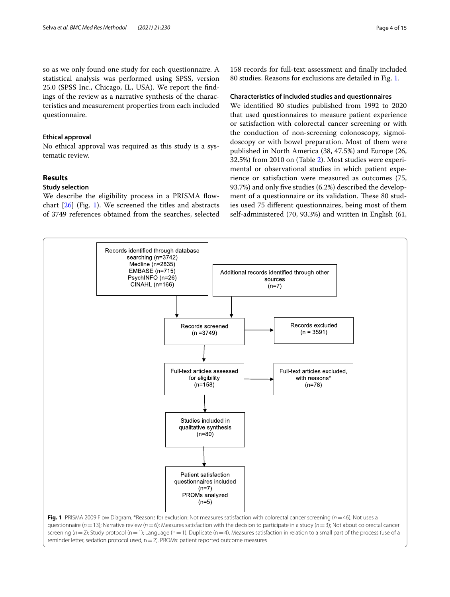so as we only found one study for each questionnaire. A statistical analysis was performed using SPSS, version 25.0 (SPSS Inc., Chicago, IL, USA). We report the fndings of the review as a narrative synthesis of the characteristics and measurement properties from each included questionnaire.

#### **Ethical approval**

No ethical approval was required as this study is a systematic review.

## **Results**

#### **Study selection**

We describe the eligibility process in a PRISMA flowchart [[26\]](#page-14-0) (Fig. [1](#page-3-0)). We screened the titles and abstracts of 3749 references obtained from the searches, selected

158 records for full-text assessment and fnally included 80 studies. Reasons for exclusions are detailed in Fig. [1.](#page-3-0)

#### **Characteristics of included studies and questionnaires**

We identifed 80 studies published from 1992 to 2020 that used questionnaires to measure patient experience or satisfaction with colorectal cancer screening or with the conduction of non-screening colonoscopy, sigmoidoscopy or with bowel preparation. Most of them were published in North America (38, 47.5%) and Europe (26, 32.5%) from 2010 on (Table [2\)](#page-4-0). Most studies were experimental or observational studies in which patient experience or satisfaction were measured as outcomes (75, 93.7%) and only fve studies (6.2%) described the development of a questionnaire or its validation. These 80 studies used 75 diferent questionnaires, being most of them self-administered (70, 93.3%) and written in English (61,

<span id="page-3-0"></span>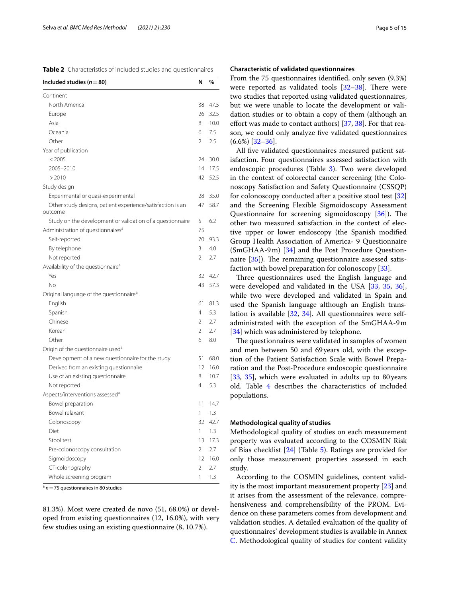<span id="page-4-0"></span>

| Included studies ( $n = 80$ )                                         | N              | %    |
|-----------------------------------------------------------------------|----------------|------|
| Continent                                                             |                |      |
| North America                                                         | 38             | 47.5 |
| Europe                                                                | 26             | 32.5 |
| Asia                                                                  | 8              | 10.0 |
| Oceania                                                               | 6              | 7.5  |
| Other                                                                 | $\overline{2}$ | 2.5  |
| Year of publication                                                   |                |      |
| < 2005                                                                | 24             | 30.0 |
| 2005-2010                                                             | 14             | 17.5 |
| >2010                                                                 | 42             | 52.5 |
| Study design                                                          |                |      |
| Experimental or quasi-experimental                                    | 28             | 35.0 |
| Other study designs, patient experience/satisfaction is an<br>outcome | 47             | 58.7 |
| Study on the development or validation of a questionnaire             | 5              | 6.2  |
| Administration of questionnaires <sup>a</sup>                         | 75             |      |
| Self-reported                                                         | 70             | 93.3 |
| By telephone                                                          | 3              | 4.0  |
| Not reported                                                          | 2              | 2.7  |
| Availability of the questionnaire <sup>a</sup>                        |                |      |
| Yes                                                                   | 32             | 42.7 |
| No                                                                    | 43             | 57.3 |
| Original language of the questionnaire <sup>a</sup>                   |                |      |
| English                                                               | 61             | 81.3 |
| Spanish                                                               | 4              | 5.3  |
| Chinese                                                               | $\mathfrak{D}$ | 2.7  |
| Korean                                                                | $\overline{2}$ | 2.7  |
| Other                                                                 | 6              | 8.0  |
| Origin of the questionnaire used <sup>a</sup>                         |                |      |
| Development of a new questionnaire for the study                      | 51             | 68.0 |
| Derived from an existing questionnaire                                | 12             | 16.0 |
| Use of an existing questionnaire                                      | 8              | 10.7 |
| Not reported                                                          | 4              | 5.3  |
| Aspects/interventions assessed <sup>a</sup>                           |                |      |
| Bowel preparation                                                     | 11             | 14.7 |
| Bowel relaxant                                                        | 1              | 1.3  |
| Colonoscopy                                                           | 32             | 42.7 |
| Diet                                                                  | $\mathbf{1}$   | 1.3  |
| Stool test                                                            | 13             | 17.3 |
| Pre-colonoscopy consultation                                          | $\overline{2}$ | 2.7  |
| Sigmoidoscopy                                                         | 12             | 16.0 |
| CT-colonography                                                       | $\overline{2}$ | 2.7  |
| Whole screening program                                               | 1              | 1.3  |

 $a$   $n=75$  questionnaires in 80 studies

81.3%). Most were created de novo (51, 68.0%) or developed from existing questionnaires (12, 16.0%), with very few studies using an existing questionnaire (8, 10.7%).

#### **Characteristic of validated questionnaires**

From the 75 questionnaires identifed, only seven (9.3%) were reported as validated tools  $[32-38]$  $[32-38]$  $[32-38]$ . There were two studies that reported using validated questionnaires, but we were unable to locate the development or validation studies or to obtain a copy of them (although an effort was made to contact authors) [\[37](#page-14-8), [38\]](#page-14-7). For that reason, we could only analyze fve validated questionnaires (6.6%) [[32](#page-14-6)[–36](#page-14-9)].

All fve validated questionnaires measured patient satisfaction. Four questionnaires assessed satisfaction with endoscopic procedures (Table [3\)](#page-5-0). Two were developed in the context of colorectal cancer screening (the Colonoscopy Satisfaction and Safety Questionnaire (CSSQP) for colonoscopy conducted after a positive stool test [[32](#page-14-6)] and the Screening Flexible Sigmoidoscopy Assessment Questionnaire for screening sigmoidoscopy  $[36]$  $[36]$ ). The other two measured satisfaction in the context of elective upper or lower endoscopy (the Spanish modifed Group Health Association of America- 9 Questionnaire (SmGHAA-9m) [\[34\]](#page-14-10) and the Post Procedure Questionnaire  $[35]$  $[35]$ ). The remaining questionnaire assessed satisfaction with bowel preparation for colonoscopy [\[33](#page-14-12)].

Three questionnaires used the English language and were developed and validated in the USA [[33,](#page-14-12) [35,](#page-14-11) [36](#page-14-9)], while two were developed and validated in Spain and used the Spanish language although an English translation is available [\[32,](#page-14-6) [34\]](#page-14-10). All questionnaires were selfadministrated with the exception of the SmGHAA-9m [[34\]](#page-14-10) which was administered by telephone.

The questionnaires were validated in samples of women and men between 50 and 69years old, with the exception of the Patient Satisfaction Scale with Bowel Preparation and the Post-Procedure endoscopic questionnaire [[33,](#page-14-12) [35\]](#page-14-11), which were evaluated in adults up to 80 years old. Table [4](#page-7-0) describes the characteristics of included populations.

#### **Methodological quality of studies**

Methodological quality of studies on each measurement property was evaluated according to the COSMIN Risk of Bias checklist [[24\]](#page-13-18) (Table [5\)](#page-8-0). Ratings are provided for only those measurement properties assessed in each study.

According to the COSMIN guidelines, content validity is the most important measurement property [[23\]](#page-13-16) and it arises from the assessment of the relevance, comprehensiveness and comprehensibility of the PROM. Evidence on these parameters comes from development and validation studies. A detailed evaluation of the quality of questionnaires' development studies is available in Annex [C.](#page-12-0) Methodological quality of studies for content validity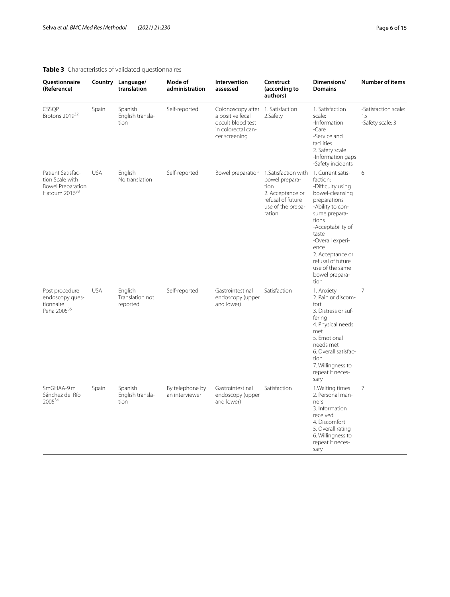# <span id="page-5-0"></span>**Table 3** Characteristics of validated questionnaires

| Questionnaire<br>(Reference)                                                                  |            | Country Language/<br>translation       | Mode of<br>administration         | Intervention<br>assessed                                                                                          | Construct<br>(according to<br>authors)                                                                                                   | Dimensions/<br><b>Domains</b>                                                                                                                                                                                                                                                       | Number of items                                |
|-----------------------------------------------------------------------------------------------|------------|----------------------------------------|-----------------------------------|-------------------------------------------------------------------------------------------------------------------|------------------------------------------------------------------------------------------------------------------------------------------|-------------------------------------------------------------------------------------------------------------------------------------------------------------------------------------------------------------------------------------------------------------------------------------|------------------------------------------------|
| CSSQP<br>Brotons 201932                                                                       | Spain      | Spanish<br>English transla-<br>tion    | Self-reported                     | Colonoscopy after 1. Satisfaction<br>a positive fecal<br>occult blood test<br>in colorectal can-<br>cer screening | 2.Safety                                                                                                                                 | 1. Satisfaction<br>scale:<br>-Information<br>$-Care$<br>-Service and<br>facilities<br>2. Safety scale<br>-Information gaps<br>-Safety incidents                                                                                                                                     | -Satisfaction scale:<br>15<br>-Safety scale: 3 |
| Patient Satisfac-<br>tion Scale with<br><b>Bowel Preparation</b><br>Hatoum 2016 <sup>33</sup> | <b>USA</b> | English<br>No translation              | Self-reported                     |                                                                                                                   | Bowel preparation 1. Satisfaction with<br>bowel prepara-<br>tion<br>2. Acceptance or<br>refusal of future<br>use of the prepa-<br>ration | 1. Current satis-<br>faction:<br>-Difficulty using<br>bowel-cleansing<br>preparations<br>-Ability to con-<br>sume prepara-<br>tions<br>-Acceptability of<br>taste<br>-Overall experi-<br>ence<br>2. Acceptance or<br>refusal of future<br>use of the same<br>bowel prepara-<br>tion | 6                                              |
| Post procedure<br>endoscopy ques-<br>tionnaire<br>Peña 2005 <sup>35</sup>                     | <b>USA</b> | English<br>Translation not<br>reported | Self-reported                     | Gastrointestinal<br>endoscopy (upper<br>and lower)                                                                | Satisfaction                                                                                                                             | 1. Anxiety<br>2. Pain or discom-<br>fort<br>3. Distress or suf-<br>fering<br>4. Physical needs<br>met<br>5. Emotional<br>needs met<br>6. Overall satisfac-<br>tion<br>7. Willingness to<br>repeat if neces-<br>sary                                                                 | $\overline{7}$                                 |
| SmGHAA-9m<br>Sánchez del Río<br>2005 <sup>34</sup>                                            | Spain      | Spanish<br>English transla-<br>tion    | By telephone by<br>an interviewer | Gastrointestinal<br>endoscopy (upper<br>and lower)                                                                | Satisfaction                                                                                                                             | 1. Waiting times<br>2. Personal man-<br>ners<br>3. Information<br>received<br>4. Discomfort<br>5. Overall rating<br>6. Willingness to<br>repeat if neces-<br>sary                                                                                                                   | $\overline{7}$                                 |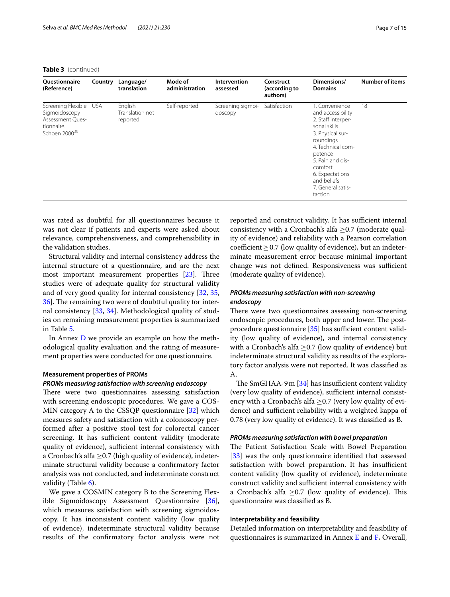#### **Table 3** (continued)

| <b>Ouestionnaire</b><br>(Reference)                                                                    | Country | Language/<br>translation               | Mode of<br>administration | Intervention<br>assessed     | Construct<br>(according to<br>authors) | Dimensions/<br><b>Domains</b>                                                                                                                                                                                                               | <b>Number of items</b> |
|--------------------------------------------------------------------------------------------------------|---------|----------------------------------------|---------------------------|------------------------------|----------------------------------------|---------------------------------------------------------------------------------------------------------------------------------------------------------------------------------------------------------------------------------------------|------------------------|
| Screening Flexible USA<br>Sigmoidoscopy<br>Assessment Ques-<br>tionnaire.<br>Schoen 2000 <sup>36</sup> |         | English<br>Translation not<br>reported | Self-reported             | Screening sigmoi-<br>doscopy | Satisfaction                           | 1. Convenience<br>and accessibility<br>2. Staff interper-<br>sonal skills<br>3. Physical sur-<br>roundings<br>4. Technical com-<br>petence<br>5. Pain and dis-<br>comfort<br>6. Expectations<br>and beliefs<br>7. General satis-<br>faction | 18                     |

was rated as doubtful for all questionnaires because it was not clear if patients and experts were asked about relevance, comprehensiveness, and comprehensibility in the validation studies.

Structural validity and internal consistency address the internal structure of a questionnaire, and are the next most important measurement properties  $[23]$  $[23]$ . Three studies were of adequate quality for structural validity and of very good quality for internal consistency [[32](#page-14-6), [35](#page-14-11), 36. The remaining two were of doubtful quality for internal consistency [\[33,](#page-14-12) [34\]](#page-14-10). Methodological quality of studies on remaining measurement properties is summarized in Table [5](#page-8-0).

In Annex [D](#page-12-0) we provide an example on how the methodological quality evaluation and the rating of measurement properties were conducted for one questionnaire.

#### **Measurement properties of PROMs**

#### *PROMs measuring satisfaction with screening endoscopy*

There were two questionnaires assessing satisfaction with screening endoscopic procedures. We gave a COS-MIN category A to the CSSQP questionnaire [[32\]](#page-14-6) which measures safety and satisfaction with a colonoscopy performed after a positive stool test for colorectal cancer screening. It has sufficient content validity (moderate quality of evidence), sufficient internal consistency with a Cronbach's alfa  $\geq$ 0.7 (high quality of evidence), indeterminate structural validity because a confrmatory factor analysis was not conducted, and indeterminate construct validity (Table [6\)](#page-9-0).

We gave a COSMIN category B to the Screening Flexible Sigmoidoscopy Assessment Questionnaire [\[36](#page-14-9)], which measures satisfaction with screening sigmoidoscopy. It has inconsistent content validity (low quality of evidence), indeterminate structural validity because results of the confrmatory factor analysis were not

reported and construct validity. It has sufficient internal consistency with a Cronbach's alfa ≥0.7 (moderate quality of evidence) and reliability with a Pearson correlation  $coefficient > 0.7$  (low quality of evidence), but an indeterminate measurement error because minimal important change was not defined. Responsiveness was sufficient (moderate quality of evidence).

#### *PROMs measuring satisfaction with non‑screening endoscopy*

There were two questionnaires assessing non-screening endoscopic procedures, both upper and lower. The postprocedure questionnaire  $[35]$  $[35]$  $[35]$  has sufficient content validity (low quality of evidence), and internal consistency with a Cronbach's alfa  $\geq$ 0.7 (low quality of evidence) but indeterminate structural validity as results of the exploratory factor analysis were not reported. It was classifed as A.

The SmGHAA-9 $m$  [\[34\]](#page-14-10) has insufficient content validity (very low quality of evidence), sufficient internal consistency with a Cronbach's alfa  $\geq$ 0.7 (very low quality of evidence) and sufficient reliability with a weighted kappa of 0.78 (very low quality of evidence). It was classifed as B.

#### *PROMs measuring satisfaction with bowel preparation*

The Patient Satisfaction Scale with Bowel Preparation [[33\]](#page-14-12) was the only questionnaire identified that assessed satisfaction with bowel preparation. It has insufficient content validity (low quality of evidence), indeterminate construct validity and sufficient internal consistency with a Cronbach's alfa  $\geq$ 0.7 (low quality of evidence). This questionnaire was classifed as B.

#### **Interpretability and feasibility**

Detailed information on interpretability and feasibility of questionnaires is summarized in Annex [E](#page-12-0) and [F](#page-12-0)**.** Overall,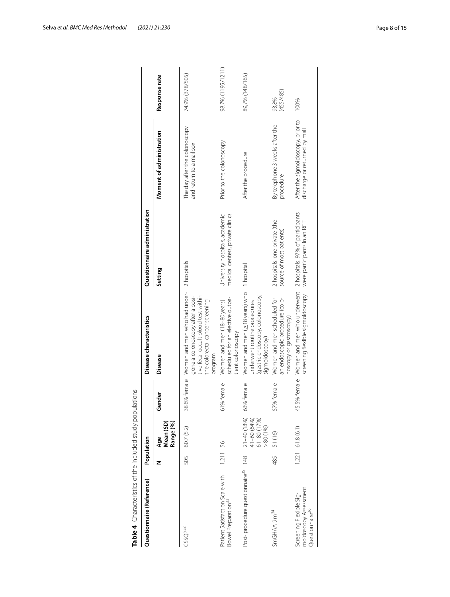| Questionnaire (Reference)                                                       |          | Population                                               |                              | Disease characteristics                                                                                                                               | Questionnaire administration                                       |                                                                    |                    |
|---------------------------------------------------------------------------------|----------|----------------------------------------------------------|------------------------------|-------------------------------------------------------------------------------------------------------------------------------------------------------|--------------------------------------------------------------------|--------------------------------------------------------------------|--------------------|
|                                                                                 | z        | Range (%)<br>Age<br>Mean (SD)                            | hder<br>န္ပ                  | Disease                                                                                                                                               | Setting                                                            | Moment of administration                                           | Response rate      |
| CSSQP <sup>32</sup>                                                             | 505      | 60.7 (5.2)                                               | 6% female<br>38 <sub>6</sub> | Women and men who had under-<br>tive fecal occult blood test within<br>gone a colonoscopy after a posi-<br>the colorectal cancer screening<br>program | 2 hospitals                                                        | The day after the colonoscopy<br>and return to a mailbox           | 74.9% (378/505)    |
| Patient Satisfaction Scale with<br>Bowel Preparation <sup>33</sup>              | 1.211 56 |                                                          | female<br>61%                | scheduled for an elective outpa-<br>Women and men (18-80 years)<br>tient colonoscopy                                                                  | medical centers, private clinics<br>University hospitals, academic | Prior to the colonoscopy                                           | 98.7% (1195/1211)  |
| Post-procedure questionnaire <sup>35</sup> 148                                  |          | 21-40 (18%)<br>41-60 (64%)<br>61-80 (17%)<br>$> 80(1\%)$ | female<br>63%                | Women and men $(\geq 18$ years) who $\,$ 1 hospital<br>(gastric endoscopy, colonoscopy,<br>underwent routine procedures<br>sigmoidoscopy)             |                                                                    | After the procedure                                                | 89,7% (148/165)    |
| SmGHAA-9m <sup>34</sup>                                                         | 485      | 51 (16)                                                  | female<br>57%                | an endoscopic procedure (colo-<br>Women and men scheduled for<br>noscopy or gastroscopy)                                                              | 2 hospitals: one private (the<br>source of most patients)          | By telephone 3 weeks after the<br>procedure                        | (455/485)<br>93,8% |
| moidoscopy Assessment<br>Screening Flexible Sig-<br>Questionnaire <sup>36</sup> |          | $1.221$ 61.8 (6.1)                                       | 45.5% female                 | Women and men who underwent 2 hospitals. 97% of participants<br>screening flexible sigmoidoscopy                                                      | were participants in an RCT                                        | After the sigmoidoscopy, prior to<br>discharge or returned by mail | 100%               |

<span id="page-7-0"></span>

| ł<br>F             |
|--------------------|
| I                  |
|                    |
|                    |
|                    |
| )                  |
|                    |
|                    |
|                    |
| i<br>١             |
| 5                  |
| J                  |
| ì                  |
|                    |
|                    |
| ्                  |
| 5                  |
|                    |
| j                  |
|                    |
|                    |
| $\frac{1}{2}$<br>, |
|                    |
|                    |
|                    |
| $\ddot{\zeta}$     |
| ١                  |
| l                  |
|                    |
|                    |
|                    |
| J                  |
| ;<br>)             |
|                    |
|                    |
|                    |
|                    |
| Ï<br>t             |
|                    |
|                    |
|                    |
|                    |
| ÷<br>j             |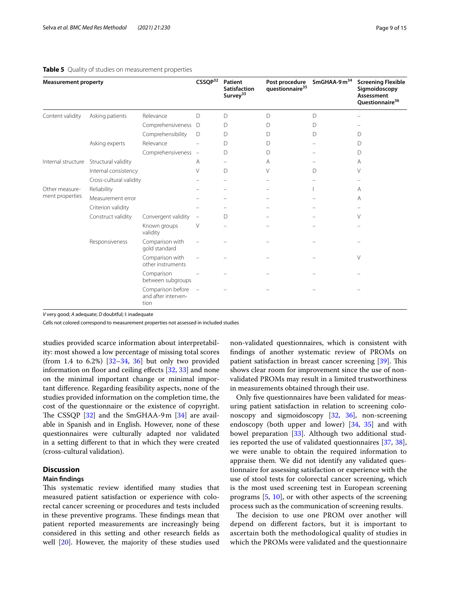#### <span id="page-8-0"></span>**Table 5** Quality of studies on measurement properties

| <b>Measurement property</b> |                         |                                                  | CSSQP32                  | Patient<br><b>Satisfaction</b><br>Survey <sup>33</sup> | Post procedure<br>questionnaire <sup>35</sup> | SmGHAA-9 $m34$ | <b>Screening Flexible</b><br>Sigmoidoscopy<br>Assessment<br>Questionnaire <sup>36</sup> |
|-----------------------------|-------------------------|--------------------------------------------------|--------------------------|--------------------------------------------------------|-----------------------------------------------|----------------|-----------------------------------------------------------------------------------------|
| Content validity            | Asking patients         | Relevance                                        | D                        | D                                                      | D                                             | D              |                                                                                         |
|                             |                         | Comprehensiveness                                | D                        | D                                                      | D                                             | D              |                                                                                         |
|                             |                         | Comprehensibility                                | D                        | D                                                      | D                                             | D              | D                                                                                       |
|                             | Asking experts          | Relevance                                        |                          | D                                                      | D                                             |                | D                                                                                       |
|                             |                         | Comprehensiveness -                              |                          | D                                                      | D                                             |                | D                                                                                       |
| Internal structure          | Structural validity     |                                                  | Α                        |                                                        | Α                                             |                | A                                                                                       |
|                             | Internal consistency    |                                                  | V                        | D                                                      | V                                             | D              | V                                                                                       |
|                             | Cross-cultural validity |                                                  |                          |                                                        |                                               |                |                                                                                         |
| Other measure-              | Reliability             |                                                  |                          |                                                        |                                               |                | A                                                                                       |
| ment properties             | Measurement error       |                                                  |                          |                                                        |                                               |                | A                                                                                       |
|                             | Criterion validity      |                                                  |                          |                                                        |                                               |                |                                                                                         |
|                             | Construct validity      | Convergent validity                              | $\overline{\phantom{m}}$ | D                                                      |                                               |                | V                                                                                       |
|                             |                         | Known groups<br>validity                         | V                        |                                                        |                                               |                |                                                                                         |
|                             | Responsiveness          | Comparison with<br>gold standard                 |                          |                                                        |                                               |                |                                                                                         |
|                             |                         | Comparison with<br>other instruments             |                          |                                                        |                                               |                | V                                                                                       |
|                             |                         | Comparison<br>between subgroups                  |                          |                                                        |                                               |                |                                                                                         |
|                             |                         | Comparison before<br>and after interven-<br>tion | $\overline{a}$           |                                                        |                                               |                |                                                                                         |

*V* very good; *A* adequate; *D* doubtful; I: inadequate

Cells not colored correspond to measurement properties not assessed in included studies

studies provided scarce information about interpretability: most showed a low percentage of missing total scores (from 1.4 to 6.2%)  $[32-34, 36]$  $[32-34, 36]$  $[32-34, 36]$  $[32-34, 36]$  $[32-34, 36]$  but only two provided information on floor and ceiling effects [\[32](#page-14-6), [33\]](#page-14-12) and none on the minimal important change or minimal important diference. Regarding feasibility aspects, none of the studies provided information on the completion time, the cost of the questionnaire or the existence of copyright. The CSSQP  $[32]$  $[32]$  $[32]$  and the SmGHAA-9m  $[34]$  $[34]$  $[34]$  are available in Spanish and in English. However, none of these questionnaires were culturally adapted nor validated in a setting diferent to that in which they were created (cross-cultural validation).

#### **Discussion**

#### **Main fndings**

This systematic review identified many studies that measured patient satisfaction or experience with colorectal cancer screening or procedures and tests included in these preventive programs. These findings mean that patient reported measurements are increasingly being considered in this setting and other research felds as well [[20\]](#page-13-13). However, the majority of these studies used non-validated questionnaires, which is consistent with fndings of another systematic review of PROMs on patient satisfaction in breast cancer screening [[39](#page-14-13)]. This shows clear room for improvement since the use of nonvalidated PROMs may result in a limited trustworthiness in measurements obtained through their use.

Only fve questionnaires have been validated for measuring patient satisfaction in relation to screening colonoscopy and sigmoidoscopy [\[32](#page-14-6), [36](#page-14-9)], non-screening endoscopy (both upper and lower) [[34,](#page-14-10) [35\]](#page-14-11) and with bowel preparation [\[33\]](#page-14-12). Although two additional studies reported the use of validated questionnaires [\[37,](#page-14-8) [38](#page-14-7)], we were unable to obtain the required information to appraise them. We did not identify any validated questionnaire for assessing satisfaction or experience with the use of stool tests for colorectal cancer screening, which is the most used screening test in European screening programs [\[5](#page-13-4), [10\]](#page-13-6), or with other aspects of the screening process such as the communication of screening results.

The decision to use one PROM over another will depend on diferent factors, but it is important to ascertain both the methodological quality of studies in which the PROMs were validated and the questionnaire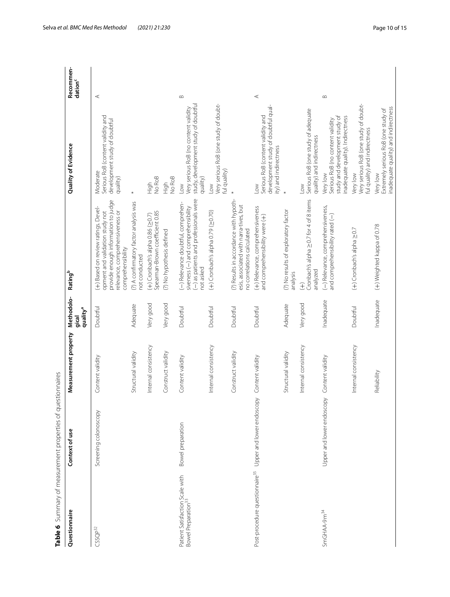| Table 6 Summary of measurement properties of questionnaires        |                           |                      |                                             |                                                                                                                                                                       |                                                                                                                     |                                  |
|--------------------------------------------------------------------|---------------------------|----------------------|---------------------------------------------|-----------------------------------------------------------------------------------------------------------------------------------------------------------------------|---------------------------------------------------------------------------------------------------------------------|----------------------------------|
| Questionnaire                                                      | Context of use            | Measurement property | Methodolo-<br>quality <sup>a</sup><br>gical | Rating <sup>b</sup>                                                                                                                                                   | Quality of Evidence                                                                                                 | Recommen-<br>dation <sup>c</sup> |
| $CSSQP^{32}$                                                       | Screening colonoscopy     | Content validity     | Doubtful                                    | provide enough information to judge<br>(+) Based on review ratings. Devel-<br>relevance, comprehensiveness or<br>opment and validation study not<br>comprehensibility | Serious RoB (content validity and<br>development study of doubtful<br>Moderate<br>quality)                          | $\prec$                          |
|                                                                    |                           | Structural validity  | Adequate                                    | (?) A confirmatory factor analysis was<br>not conducted                                                                                                               | $\ast$                                                                                                              |                                  |
|                                                                    |                           | Internal consistency | Very good                                   | Spearman-Brown coefficient 0.85<br>$(+)$ Cronbach's alpha 0.86 ( $\geq$ 0.7)                                                                                          | No RoB<br>トラ<br>王                                                                                                   |                                  |
|                                                                    |                           | Construct validity   | Very good                                   | (?) No hypothesis defined                                                                                                                                             | No RoB<br>High                                                                                                      |                                  |
| Patient Satisfaction Scale with<br>Bowel Preparation <sup>33</sup> | Bowel preparation         | Content validity     | Doubtful                                    | (-) as patients and professionals were<br>(-) Relevance doubtful, comprehen-<br>siveness (-) and comprehensibility<br>not asked                                       | study, development study of doubtful<br>Very serious RoB (no content validity<br>quality)<br>$_{\text{Low}}$        | $\infty$                         |
|                                                                    |                           | Internal consistency | Doubtful                                    | $(+)$ Cronbach's alpha 0.79 ( $\geq$ 0.70)                                                                                                                            | Very serious RoB (one study of doubt-<br>ful quality)<br>$\geq$                                                     |                                  |
|                                                                    |                           | Construct validity   | Doubtful                                    | (?) Results in accordance with hypoth-<br>esis, associated with narra-tives, but<br>no correlations calculated                                                        |                                                                                                                     |                                  |
| Post-procedure questionnaire <sup>35</sup>                         | Upper and lower endoscopy | Content validity     | Doubtful                                    | (+) Relevance, comprehensiveness<br>and comprehensibility were (+)                                                                                                    | development study of doubtful qual-<br>Serious RoB (content validity and<br>ity) and indirectness<br>Low            | ⋖                                |
|                                                                    |                           | Structural validity  | Adequate                                    | (?) No results of exploratory factor<br>analysis                                                                                                                      | $\ast$                                                                                                              |                                  |
|                                                                    |                           | Internal consistency | Very good                                   | Cronbach's alpha 20.7 for 4 of 8 items<br>analyzed<br>$\widehat{\pm}$                                                                                                 | Serious RoB (one study of adequate<br>quality) and indirectness<br>$\geq$                                           |                                  |
| SmGHAA-9m <sup>34</sup>                                            | Upper and lower endoscopy | Content validity     | Inadequate                                  | (-) Relevance, comprehensiveness,<br>and comprehensibility rated (-)                                                                                                  | study and development study of<br>inadequate quality). Indirectness<br>Serious RoB (no content validity<br>Very low | $\infty$                         |
|                                                                    |                           | Internal consistency | Doubtful                                    | $(+)$ Cronbach's alpha $\geq$ 0.7                                                                                                                                     | Very serious RoB (one study of doubt-<br>ful quality) and indirectness<br>Very low                                  |                                  |
|                                                                    |                           | Reliability          | Inadequate                                  | (+) Weighted kappa of 0.78                                                                                                                                            | inadequate quality) and indirectness<br>Extremely serious RoB (one study of<br>Very low                             |                                  |

<span id="page-9-0"></span>Table 6 Summary of measurement properties of questionnaires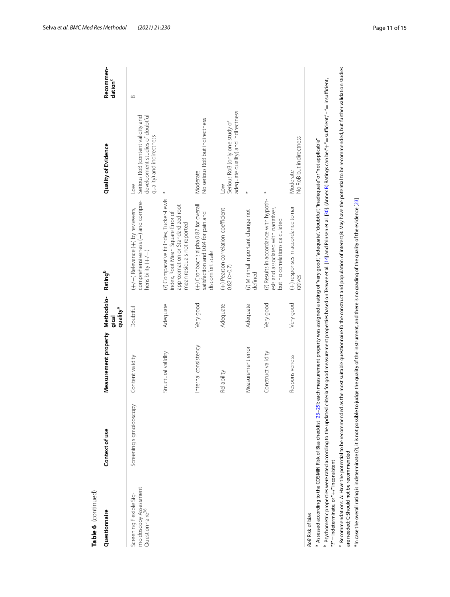| Table 6 (continued)                                                             |                         |                      |                                             |                                                                                                                                                                                                                          |                                                                                                             |                                  |
|---------------------------------------------------------------------------------|-------------------------|----------------------|---------------------------------------------|--------------------------------------------------------------------------------------------------------------------------------------------------------------------------------------------------------------------------|-------------------------------------------------------------------------------------------------------------|----------------------------------|
| Questionnaire                                                                   | Context of use          | Measurement property | Methodolo-<br>quality <sup>a</sup><br>gical | Rating <sup>b</sup>                                                                                                                                                                                                      | Quality of Evidence                                                                                         | Recommen-<br>dation <sup>c</sup> |
| moidoscopy Assessment<br>Screening Flexible Sig-<br>Questionnaire <sup>36</sup> | Screening sigmoidoscopy | Content validity     | Doubtful                                    | comprehensiveness (-) and compre-<br>(+/-) Relevance (+) by reviewers,<br>hensibility (+/-)                                                                                                                              | Serious RoB (content validity and<br>development studies of doubtful<br>quality) and indirectness<br>$\geq$ | $\infty$                         |
|                                                                                 |                         | Structural validity  | Adequate                                    | (?) Comparative fit index, Tucker-Lewis<br>approximation or Standardized root<br>index, Root Mean Square Error of<br>mean residuals not reported                                                                         |                                                                                                             |                                  |
|                                                                                 |                         | Internal consistency | Very good                                   | $(+)$ Cronbach's alpha 0.87 for overall<br>satisfaction and 0.84 for pain and<br>discomfort scale                                                                                                                        | No serious RoB but indirectness<br>Moderate                                                                 |                                  |
|                                                                                 |                         | Reliability          | Adequate                                    | (+) Pearson correlation coefficient<br>$0.82$ ( $\geq 0.7$ )                                                                                                                                                             | adequate quality) and indirectness<br>Serious RoB (only one study of<br>$\geq$                              |                                  |
|                                                                                 |                         | Measurement error    | Adequate                                    | (?) Minimal important change not<br>defined                                                                                                                                                                              |                                                                                                             |                                  |
|                                                                                 |                         | Construct validity   | Very good                                   | (?) Results in accordance with hypoth-<br>esis and associated with narratives,<br>but no correlations calculated                                                                                                         | $\ast$                                                                                                      |                                  |
|                                                                                 |                         | Responsiveness       | Very good                                   | (+) responses in accordance to nar-<br>ratives                                                                                                                                                                           | No RoB but indirectness<br>Moderate                                                                         |                                  |
| RoB Risk of bias                                                                |                         |                      |                                             | Assessed according to the COSMIN Risk of Bias checklist [23–25]: each measurement property was assigned a rating of "very good","adequate","doubtfull","inadequate" or "not applicable"                                  |                                                                                                             |                                  |
| "?" = indeterminate, or " $+$ " inconsistent                                    |                         |                      |                                             | Psychometric properties were rated according to the updated criteria for good measurement properties based on Terwee et al. [14] and Prinsen et al. [30]. (Annex B) Ratings can be:"+" = sufficient;"- " = insufficient, |                                                                                                             |                                  |
| are needed; C:Should not be recommended                                         |                         |                      |                                             | Recommendations: A: Have the potential to be recommended as the most suitable questionnaire fo the construct and population of interest;B: May have the potential to be recommended, but further validation studies      |                                                                                                             |                                  |
|                                                                                 |                         |                      |                                             | *In case the overall rating is indeterminate (?), it is not possible to judge the quality of the instrument, and there is no grading of the quality of the evidence [23]                                                 |                                                                                                             |                                  |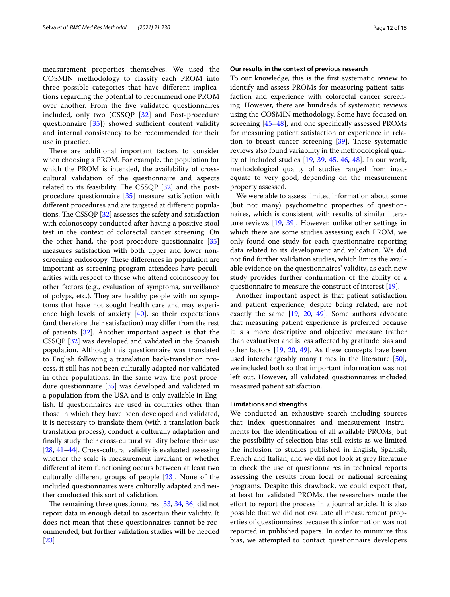measurement properties themselves. We used the COSMIN methodology to classify each PROM into three possible categories that have diferent implications regarding the potential to recommend one PROM over another. From the fve validated questionnaires included, only two (CSSQP [[32\]](#page-14-6) and Post-procedure questionnaire  $[35]$  $[35]$ ) showed sufficient content validity and internal consistency to be recommended for their use in practice.

There are additional important factors to consider when choosing a PROM. For example, the population for which the PROM is intended, the availability of crosscultural validation of the questionnaire and aspects related to its feasibility. The CSSQP  $[32]$  $[32]$  and the postprocedure questionnaire [\[35\]](#page-14-11) measure satisfaction with diferent procedures and are targeted at diferent populations. The CSSQP  $[32]$  $[32]$  assesses the safety and satisfaction with colonoscopy conducted after having a positive stool test in the context of colorectal cancer screening. On the other hand, the post-procedure questionnaire [[35](#page-14-11)] measures satisfaction with both upper and lower nonscreening endoscopy. These differences in population are important as screening program attendees have peculiarities with respect to those who attend colonoscopy for other factors (e.g., evaluation of symptoms, surveillance of polyps, etc.). They are healthy people with no symptoms that have not sought health care and may experience high levels of anxiety [[40\]](#page-14-14), so their expectations (and therefore their satisfaction) may difer from the rest of patients [[32\]](#page-14-6). Another important aspect is that the CSSQP [\[32\]](#page-14-6) was developed and validated in the Spanish population. Although this questionnaire was translated to English following a translation back-translation process, it still has not been culturally adapted nor validated in other populations. In the same way, the post-procedure questionnaire [[35\]](#page-14-11) was developed and validated in a population from the USA and is only available in English. If questionnaires are used in countries other than those in which they have been developed and validated, it is necessary to translate them (with a translation-back translation process), conduct a culturally adaptation and fnally study their cross-cultural validity before their use [[28,](#page-14-2) [41–](#page-14-15)[44](#page-14-16)]. Cross-cultural validity is evaluated assessing whether the scale is measurement invariant or whether diferential item functioning occurs between at least two culturally diferent groups of people [[23](#page-13-16)]. None of the included questionnaires were culturally adapted and neither conducted this sort of validation.

The remaining three questionnaires  $[33, 34, 36]$  $[33, 34, 36]$  $[33, 34, 36]$  $[33, 34, 36]$  $[33, 34, 36]$  did not report data in enough detail to ascertain their validity. It does not mean that these questionnaires cannot be recommended, but further validation studies will be needed [[23\]](#page-13-16).

#### **Our results in the context of previous research**

To our knowledge, this is the frst systematic review to identify and assess PROMs for measuring patient satisfaction and experience with colorectal cancer screening. However, there are hundreds of systematic reviews using the COSMIN methodology. Some have focused on screening [\[45](#page-14-17)[–48\]](#page-14-18), and one specifcally assessed PROMs for measuring patient satisfaction or experience in relation to breast cancer screening  $[39]$  $[39]$ . These systematic reviews also found variability in the methodological quality of included studies [\[19](#page-13-12), [39,](#page-14-13) [45](#page-14-17), [46,](#page-14-19) [48](#page-14-18)]. In our work, methodological quality of studies ranged from inadequate to very good, depending on the measurement property assessed.

We were able to assess limited information about some (but not many) psychometric properties of questionnaires, which is consistent with results of similar literature reviews [\[19](#page-13-12), [39\]](#page-14-13). However, unlike other settings in which there are some studies assessing each PROM, we only found one study for each questionnaire reporting data related to its development and validation. We did not fnd further validation studies, which limits the available evidence on the questionnaires' validity, as each new study provides further confrmation of the ability of a questionnaire to measure the construct of interest [\[19\]](#page-13-12).

Another important aspect is that patient satisfaction and patient experience, despite being related, are not exactly the same  $[19, 20, 49]$  $[19, 20, 49]$  $[19, 20, 49]$  $[19, 20, 49]$  $[19, 20, 49]$  $[19, 20, 49]$ . Some authors advocate that measuring patient experience is preferred because it is a more descriptive and objective measure (rather than evaluative) and is less afected by gratitude bias and other factors [\[19](#page-13-12), [20](#page-13-13), [49\]](#page-14-20). As these concepts have been used interchangeably many times in the literature [\[50](#page-14-21)], we included both so that important information was not left out. However, all validated questionnaires included measured patient satisfaction.

#### **Limitations and strengths**

We conducted an exhaustive search including sources that index questionnaires and measurement instruments for the identifcation of all available PROMs, but the possibility of selection bias still exists as we limited the inclusion to studies published in English, Spanish, French and Italian, and we did not look at grey literature to check the use of questionnaires in technical reports assessing the results from local or national screening programs. Despite this drawback, we could expect that, at least for validated PROMs, the researchers made the efort to report the process in a journal article. It is also possible that we did not evaluate all measurement properties of questionnaires because this information was not reported in published papers. In order to minimize this bias, we attempted to contact questionnaire developers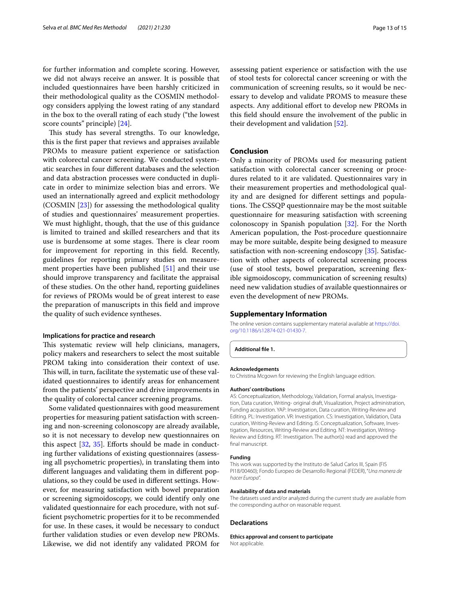for further information and complete scoring. However, we did not always receive an answer. It is possible that included questionnaires have been harshly criticized in their methodological quality as the COSMIN methodology considers applying the lowest rating of any standard in the box to the overall rating of each study ("the lowest score counts" principle) [\[24\]](#page-13-18).

This study has several strengths. To our knowledge, this is the frst paper that reviews and appraises available PROMs to measure patient experience or satisfaction with colorectal cancer screening. We conducted systematic searches in four diferent databases and the selection and data abstraction processes were conducted in duplicate in order to minimize selection bias and errors. We used an internationally agreed and explicit methodology (COSMIN [[23](#page-13-16)]) for assessing the methodological quality of studies and questionnaires' measurement properties. We must highlight, though, that the use of this guidance is limited to trained and skilled researchers and that its use is burdensome at some stages. There is clear room for improvement for reporting in this feld. Recently, guidelines for reporting primary studies on measurement properties have been published [[51\]](#page-14-22) and their use should improve transparency and facilitate the appraisal of these studies. On the other hand, reporting guidelines for reviews of PROMs would be of great interest to ease the preparation of manuscripts in this feld and improve the quality of such evidence syntheses.

#### **Implications for practice and research**

This systematic review will help clinicians, managers, policy makers and researchers to select the most suitable PROM taking into consideration their context of use. This will, in turn, facilitate the systematic use of these validated questionnaires to identify areas for enhancement from the patients' perspective and drive improvements in the quality of colorectal cancer screening programs.

Some validated questionnaires with good measurement properties for measuring patient satisfaction with screening and non-screening colonoscopy are already available, so it is not necessary to develop new questionnaires on this aspect  $[32, 35]$  $[32, 35]$  $[32, 35]$  $[32, 35]$  $[32, 35]$ . Efforts should be made in conducting further validations of existing questionnaires (assessing all psychometric properties), in translating them into diferent languages and validating them in diferent populations, so they could be used in diferent settings. However, for measuring satisfaction with bowel preparation or screening sigmoidoscopy, we could identify only one validated questionnaire for each procedure, with not suffcient psychometric properties for it to be recommended for use. In these cases, it would be necessary to conduct further validation studies or even develop new PROMs. Likewise, we did not identify any validated PROM for

assessing patient experience or satisfaction with the use of stool tests for colorectal cancer screening or with the communication of screening results, so it would be necessary to develop and validate PROMS to measure these aspects. Any additional effort to develop new PROMs in this feld should ensure the involvement of the public in their development and validation [\[52](#page-14-23)].

#### **Conclusion**

Only a minority of PROMs used for measuring patient satisfaction with colorectal cancer screening or procedures related to it are validated. Questionnaires vary in their measurement properties and methodological quality and are designed for diferent settings and populations. The CSSQP questionnaire may be the most suitable questionnaire for measuring satisfaction with screening colonoscopy in Spanish population [[32](#page-14-6)]. For the North American population, the Post-procedure questionnaire may be more suitable, despite being designed to measure satisfaction with non-screening endoscopy [\[35\]](#page-14-11). Satisfaction with other aspects of colorectal screening process (use of stool tests, bowel preparation, screening fexible sigmoidoscopy, communication of screening results) need new validation studies of available questionnaires or even the development of new PROMs.

#### **Supplementary Information**

The online version contains supplementary material available at [https://doi.](https://doi.org/10.1186/s12874-021-01430-7) [org/10.1186/s12874-021-01430-7](https://doi.org/10.1186/s12874-021-01430-7).

<span id="page-12-0"></span>**Additional fle 1.**

#### **Acknowledgements**

to Christina Mcgown for reviewing the English language edition.

#### **Authors' contributions**

AS: Conceptualization, Methodology, Validation, Formal analysis, Investigation, Data curation, Writing- original draft, Visualization, Project administration, Funding acquisition. YAP: Investigation, Data curation, Writing-Review and Editing. PL: Investigation. VR: Investigation. CS: Investigation, Validation, Data curation, Writing-Review and Editing. IS: Conceptualization, Software, Investigation, Resources, Writing-Review and Editing. NT: Investigation, Writing-Review and Editing. RT: Investigation. The author(s) read and approved the final manuscript.

#### **Funding**

This work was supported by the Instituto de Salud Carlos III, Spain (FIS PI18/00460); Fondo Europeo de Desarrollo Regional (FEDER), "*Una manera de hacer Europa*".

#### **Availability of data and materials**

The datasets used and/or analyzed during the current study are available from the corresponding author on reasonable request.

#### **Declarations**

**Ethics approval and consent to participate** Not applicable.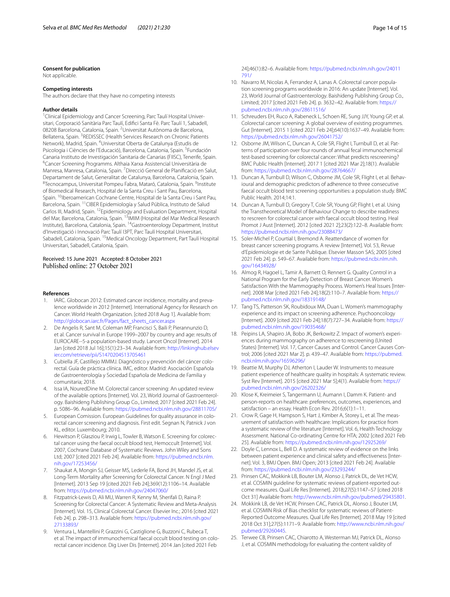#### **Consent for publication**

Not applicable.

#### **Competing interests**

The authors declare that they have no competing interests

#### **Author details**

<sup>1</sup> Clinical Epidemiology and Cancer Screening, Parc Taulí Hospital Universitari, Corporació Sanitària Parc Taulí, Edifci Santa Fè. Parc Taulí 1, Sabadell, 08208 Barcelona, Catalonia, Spain. <sup>2</sup>Universitat Autònoma de Barcelona, Bellaterra, Spain. <sup>3</sup> REDISSEC (Health Services Research on Chronic Patients Network), Madrid, Spain. <sup>4</sup>Universitat Oberta de Catalunya (Estudis de Psicologia i Ciències de l'Educació), Barcelona, Catalonia, Spain. <sup>5</sup>Fundación Canaria Instituto de Investigación Sanitaria de Canarias (FIISC), Tenerife, Spain. 6 Cancer Screening Programms. Althaia Xarxa Assistencial Universitària de Manresa, Manresa, Catalonia, Spain. <sup>7</sup> Direcció General de Planificació en Salut, Departament de Salut, Generalitat de Catalunya, Barcelona, Catalonia, Spain. <sup>8</sup>Tecnocampus, Universitat Pompeu Fabra, Mataró, Catalonia, Spain. <sup>9</sup>Institute of Biomedical Research, Hospital de la Santa Creu i Sant Pau, Barcelona, Spain. <sup>10</sup>Iberoamerican Cochrane Centre, Hospital de la Santa Creu i Sant Pau, Barcelona, Spain. 11CIBER Epidemiología y Salud Pública, Instituto de Salud Carlos III, Madrid, Spain. 12Epidemiology and Evaluation Department, Hospital del Mar, Barcelona, Catalonia, Spain. 13IMIM (Hospital del Mar Medical Research Institute), Barcelona, Catalonia, Spain. 14Gastroenterology Department, Institut d'Investigació i Innovació Parc Taulí I3PT, Parc Taulí Hospital Universitari, Sabadell, Catalonia, Spain. <sup>15</sup> Medical Oncology Department, Part Taulí Hospital Universitari, Sabadell, Catalonia, Spain.

#### Received: 15 June 2021 Accepted: 8 October 2021 Published online: 27 October 2021

#### **References**

- <span id="page-13-0"></span>IARC. Globocan 2012: Estimated cancer incidence, mortality and prevalence worldwide in 2012 [Internet]. International Agency for Research on Cancer. World Health Organization. [cited 2018 Aug 1]. Available from: [http://globocan.iarc.fr/Pages/fact\\_sheets\\_cancer.aspx](http://globocan.iarc.fr/Pages/fact_sheets_cancer.aspx)
- <span id="page-13-1"></span>2. De Angelis R, Sant M, Coleman MP, Francisci S, Baili P, Pierannunzio D, et al. Cancer survival in Europe 1999–2007 by country and age: results of EUROCARE--5-a population-based study. Lancet Oncol [Internet]. 2014 Jan [cited 2018 Jul 16];15(1):23–34. Available from: [http://linkinghub.elsev](http://linkinghub.elsevier.com/retrieve/pii/S1470204513705461) [ier.com/retrieve/pii/S1470204513705461](http://linkinghub.elsevier.com/retrieve/pii/S1470204513705461)
- <span id="page-13-2"></span>3. Cubiella JF, Castillejo MMMJ. Diagnóstico y prevención del cáncer colorectal. Guía de práctica clínica. IMC, editor. Madrid: Asociación Española de Gastroenterología y Sociedad Española de Medicina de Familia y comunitaria; 2018.
- <span id="page-13-3"></span>4. Issa IA, NouredDine M. Colorectal cancer screening: An updated review of the available options [Internet]. Vol. 23, World Journal of Gastroenterology. Baishideng Publishing Group Co., Limited; 2017 [cited 2021 Feb 24]. p. 5086–96. Available from:<https://pubmed.ncbi.nlm.nih.gov/28811705/>
- <span id="page-13-4"></span>5. European Comission. European Guidelines for quality assurance in colorectal cancer screening and diagnosis. First edit. Segnan N, Patnick J von KL, editor. Luxembourg; 2010.
- 6. Hewitson P, Glasziou P, Irwig L, Towler B, Watson E. Screening for colorectal cancer using the faecal occult blood test, Hemoccult [Internet]. Vol. 2007, Cochrane Database of Systematic Reviews. John Wiley and Sons Ltd; 2007 [cited 2021 Feb 24]. Available from: [https://pubmed.ncbi.nlm.](https://pubmed.ncbi.nlm.nih.gov/17253456/) [nih.gov/17253456/](https://pubmed.ncbi.nlm.nih.gov/17253456/)
- 7. Shaukat A, Mongin SJ, Geisser MS, Lederle FA, Bond JH, Mandel JS, et al. Long-Term Mortality after Screening for Colorectal Cancer. N Engl J Med [Internet]. 2013 Sep 19 [cited 2021 Feb 24];369(12):1106–14. Available from: <https://pubmed.ncbi.nlm.nih.gov/24047060/>
- 8. Fitzpatrick-Lewis D, Ali MU, Warren R, Kenny M, Sherifali D, Raina P. Screening for Colorectal Cancer: A Systematic Review and Meta-Analysis [Internet]. Vol. 15, Clinical Colorectal Cancer. Elsevier Inc.; 2016 [cited 2021 Feb 24]. p. 298–313. Available from: [https://pubmed.ncbi.nlm.nih.gov/](https://pubmed.ncbi.nlm.nih.gov/27133893/) [27133893/](https://pubmed.ncbi.nlm.nih.gov/27133893/)
- <span id="page-13-5"></span>9. Ventura L, Mantellini P, Grazzini G, Castiglione G, Buzzoni C, Rubeca T, et al. The impact of immunochemical faecal occult blood testing on colorectal cancer incidence. Dig Liver Dis [Internet]. 2014 Jan [cited 2021 Feb

24];46(1):82–6. Available from: [https://pubmed.ncbi.nlm.nih.gov/24011](https://pubmed.ncbi.nlm.nih.gov/24011791/) [791/](https://pubmed.ncbi.nlm.nih.gov/24011791/)

- <span id="page-13-6"></span>10. Navarro M, Nicolas A, Ferrandez A, Lanas A. Colorectal cancer population screening programs worldwide in 2016: An update [Internet]. Vol. 23, World Journal of Gastroenterology. Baishideng Publishing Group Co., Limited; 2017 [cited 2021 Feb 24]. p. 3632–42. Available from: [https://](https://pubmed.ncbi.nlm.nih.gov/28611516/) [pubmed.ncbi.nlm.nih.gov/28611516/](https://pubmed.ncbi.nlm.nih.gov/28611516/)
- <span id="page-13-7"></span>11. Schreuders EH, Ruco A, Rabeneck L, Schoen RE, Sung JJY, Young GP, et al. Colorectal cancer screening: A global overview of existing programmes. Gut [Internet]. 2015 1 [cited 2021 Feb 24];64(10):1637–49. Available from: <https://pubmed.ncbi.nlm.nih.gov/26041752/>
- <span id="page-13-8"></span>12. Osborne JM, Wilson C, Duncan A, Cole SR, Flight I, Turnbull D, et al. Patterns of participation over four rounds of annual fecal immunochemical test-based screening for colorectal cancer: What predicts rescreening? BMC Public Health [Internet]. 2017 1 [cited 2021 Mar 2];18(1). Available from: <https://pubmed.ncbi.nlm.nih.gov/28764667/>
- 13. Duncan A, Turnbull D, Wilson C, Osborne JM, Cole SR, Flight I, et al. Behavioural and demographic predictors of adherence to three consecutive faecal occult blood test screening opportunities: a population study. BMC Public Health. 2014;14:1.
- <span id="page-13-9"></span>14. Duncan A, Turnbull D, Gregory T, Cole SR, Young GP, Flight I, et al. Using the Transtheoretical Model of Behaviour Change to describe readiness to rescreen for colorectal cancer with faecal occult blood testing. Heal Promot J Aust [Internet]. 2012 [cited 2021 2];23(2):122–8. Available from: <https://pubmed.ncbi.nlm.nih.gov/23088473/>
- <span id="page-13-10"></span>15. Soler-Michel P, Courtial I, Bremond A. Reattendance of women for breast cancer screening programs. A review [Internet]. Vol. 53, Revue d'Epidemiologie et de Sante Publique. Elsevier Masson SAS; 2005 [cited 2021 Feb 24]. p. 549–67. Available from: [https://pubmed.ncbi.nlm.nih.](https://pubmed.ncbi.nlm.nih.gov/16434928/) [gov/16434928/](https://pubmed.ncbi.nlm.nih.gov/16434928/)
- 16. Almog R, Hagoel L, Tamir A, Barnett O, Rennert G. Quality Control in a National Program for the Early Detection of Breast Cancer. Women's Satisfaction With the Mammography Process. Women's Heal Issues [Internet]. 2008 Mar [cited 2021 Feb 24];18(2):110–7. Available from: [https://](https://pubmed.ncbi.nlm.nih.gov/18319148/) [pubmed.ncbi.nlm.nih.gov/18319148/](https://pubmed.ncbi.nlm.nih.gov/18319148/)
- 17. Tang TS, Patterson SK, Roubidoux MA, Duan L. Women's mammography experience and its impact on screening adherence. Psychooncology [Internet]. 2009 [cited 2021 Feb 24];18(7):727–34. Available from: [https://](https://pubmed.ncbi.nlm.nih.gov/19035468/) [pubmed.ncbi.nlm.nih.gov/19035468/](https://pubmed.ncbi.nlm.nih.gov/19035468/)
- <span id="page-13-11"></span>18. Peipins LA, Shapiro JA, Bobo JK, Berkowitz Z. Impact of women's experiences during mammography on adherence to rescreening (United States) [Internet]. Vol. 17, Cancer Causes and Control. Cancer Causes Control; 2006 [cited 2021 Mar 2]. p. 439–47. Available from: [https://pubmed.](https://pubmed.ncbi.nlm.nih.gov/16596296/) [ncbi.nlm.nih.gov/16596296/](https://pubmed.ncbi.nlm.nih.gov/16596296/)
- <span id="page-13-12"></span>19. Beattie M, Murphy DJ, Atherton I, Lauder W. Instruments to measure patient experience of healthcare quality in hospitals: A systematic review. Syst Rev [Internet]. 2015 [cited 2021 Mar 5];4(1). Available from: [https://](https://pubmed.ncbi.nlm.nih.gov/26202326/) [pubmed.ncbi.nlm.nih.gov/26202326/](https://pubmed.ncbi.nlm.nih.gov/26202326/)
- <span id="page-13-13"></span>20. Klose K, Kreimeier S, Tangermann U, Aumann I, Damm K. Patient- and person-reports on healthcare: preferences, outcomes, experiences, and satisfaction – an essay. Health Econ Rev. 2016;6(1):1–11.
- <span id="page-13-14"></span>21. Crow R, Gage H, Hampson S, Hart J, Kimber A, Storey L, et al. The measurement of satisfaction with healthcare: Implications for practice from a systematic review of the literature [Internet]. Vol. 6, Health Technology Assessment. National Co-ordinating Centre for HTA; 2002 [cited 2021 Feb 25]. Available from: <https://pubmed.ncbi.nlm.nih.gov/12925269/>
- <span id="page-13-15"></span>22. Doyle C, Lennox L, Bell D. A systematic review of evidence on the links between patient experience and clinical safety and effectiveness [Internet]. Vol. 3, BMJ Open. BMJ Open; 2013 [cited 2021 Feb 24]. Available from: <https://pubmed.ncbi.nlm.nih.gov/23293244/>
- <span id="page-13-16"></span>23. Prinsen CAC, Mokkink LB, Bouter LM, Alonso J, Patrick DL, de Vet HCW, et al. COSMIN quideline for systematic reviews of patient-reported outcome measures. Qual Life Res [Internet]. 2018;27(5):1147–57 [cited 2018 Oct 31] Available from: <http://www.ncbi.nlm.nih.gov/pubmed/29435801>.
- <span id="page-13-18"></span>24. Mokkink LB, de Vet HCW, Prinsen CAC, Patrick DL, Alonso J, Bouter LM, et al. COSMIN Risk of Bias checklist for systematic reviews of Patient-Reported Outcome Measures. Qual Life Res [Internet]. 2018 May 19 [cited 2018 Oct 31];27(5):1171–9. Available from: [http://www.ncbi.nlm.nih.gov/](http://www.ncbi.nlm.nih.gov/pubmed/29260445) [pubmed/29260445.](http://www.ncbi.nlm.nih.gov/pubmed/29260445)
- <span id="page-13-17"></span>25. Terwee CB, Prinsen CAC, Chiarotto A, Westerman MJ, Patrick DL, Alonso J, et al. COSMIN methodology for evaluating the content validity of